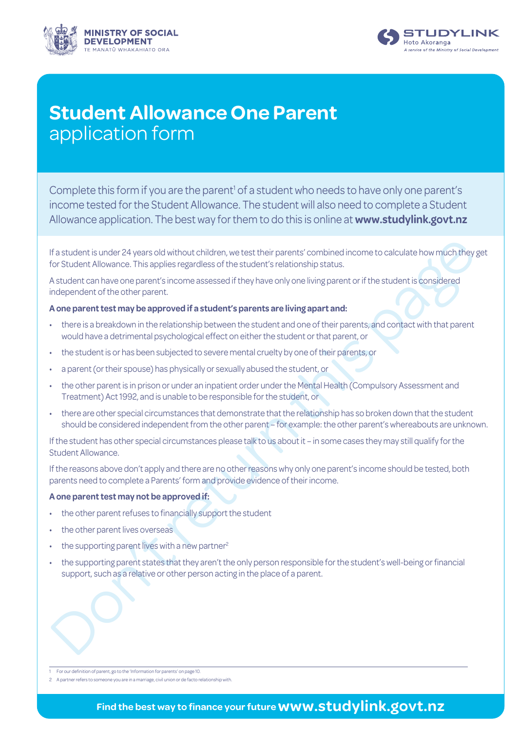



# **Student Allowance One Parent** application form

Complete this form if you are the parent<sup>1</sup> of a student who needs to have only one parent's income tested for the Student Allowance. The student will also need to complete a Student Allowance application. The best way for them to do this is online at **[www.studylink.govt.nz](http://www.studylink.govt.nz)**

If a student is under 24 years old without children, we test their parents' combined income to calculate how much they for Student Allowance. This applies regardless of the student's relationship status.<br>
Student can have If a student is under 24 years old without children, we test their parents' combined income to calculate how much they get for Student Allowance. This applies regardless of the student's relationship status.

A student can have one parent's income assessed if they have only one living parent or if the student is considered independent of the other parent.

# **A one parent test may be approved if a student's parents are living apart and:**

- there is a breakdown in the relationship between the student and one of their parents, and contact with that parent would have a detrimental psychological effect on either the student or that parent, or
- the student is or has been subjected to severe mental cruelty by one of their parents, or
- a parent (or their spouse) has physically or sexually abused the student, or
- the other parent is in prison or under an inpatient order under the Mental Health (Compulsory Assessment and Treatment) Act 1992, and is unable to be responsible for the student, or
- there are other special circumstances that demonstrate that the relationship has so broken down that the student should be considered independent from the other parent – for example: the other parent's whereabouts are unknown.

If the student has other special circumstances please talk to us about it – in some cases they may still qualify for the Student Allowance.

If the reasons above don't apply and there are no other reasons why only one parent's income should be tested, both parents need to complete a Parents' form and provide evidence of their income.

## **A one parent test may not be approved if:**

- the other parent refuses to financially support the student
- the other parent lives overseas
- the supporting parent lives with a new partner<sup>2</sup>
- the supporting parent states that they aren't the only person responsible for the student's well-being or financial support, such as a relative or other person acting in the place of a parent.

1 For our definition of parent, go to the 'Information for parents' on page 10.

2 A partner refers to someone you are in a marriage, civil union or de facto relationship with.

# **Find the best way to finance your future www.studylink.govt.nz**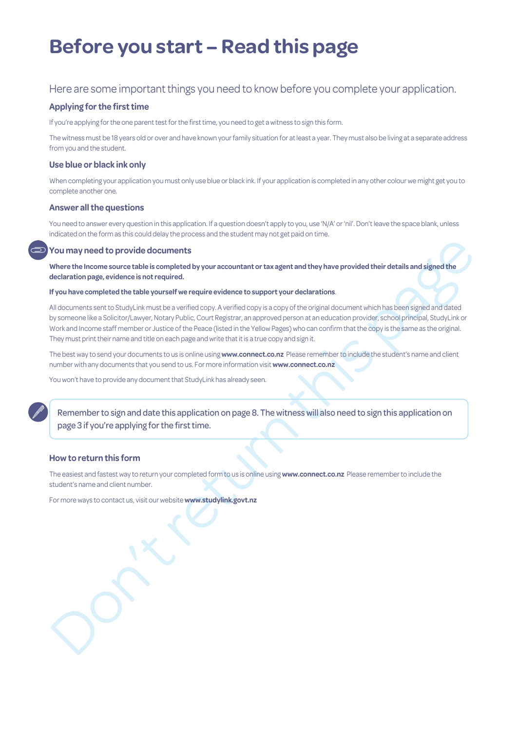# **Before you start – Read this page**

# Here are some important things you need to know before you complete your application.

## **Applying for the first time**

If you're applying for the one parent test for the first time, you need to get a witness to sign this form.

The witness must be 18 years old or over and have known your family situation for at least a year. They must also be living at a separate address from you and the student.

### **Use blue or black ink only**

When completing your application you must only use blue or black ink. If your application is completed in any other colour we might get you to complete another one.

### **Answer all the questions**

You need to answer every question in this application. If a question doesn't apply to you, use 'N/A' or 'nil'. Don't leave the space blank, unless indicated on the form as this could delay the process and the student may not get paid on time.

### **You may need to provide documents**

Where the Income source table is completed by your accountant or tax agent and they have provided their details and signed the **declaration page, evidence is not required.**

#### **If you have completed the table yourself we require evidence to support your declarations**.

Nou may need to provide documents<br>Where the income source table is compl[et](http://www.studylink.govt.nz)ed by your accountant or tax agent and they have provided their details and signed the<br>deteleration page, evidence is not explaned by vour accountan All documents sent to StudyLink must be a verified copy. A verified copy is a copy of the original document which has been signed and dated by someone like a Solicitor/Lawyer, Notary Public, Court Registrar, an approved person at an education provider, school principal, StudyLink or Work and Income staff member or Justice of the Peace (listed in the Yellow Pages) who can confirm that the copy is the same as the original. They must print their name and title on each page and write that it is a true copy and sign it.

The best way to send your documents to us is online using **www.connect.co.nz** Please remember to include the student's name and client number with any documents that you send to us. For more information visit **www.connect.co.nz**

You won't have to provide any document that StudyLink has already seen.

Remember to sign and date this application on page 8. The witness will also need to sign this application on page 3 if you're applying for the first time.

#### **How to return this form**

The easiest and fastest way to return your completed form to us is online using **www.connect.co.nz** Please remember to include the student's name and client number.

For more ways to contact us, visit our website **www.studylink.govt.nz**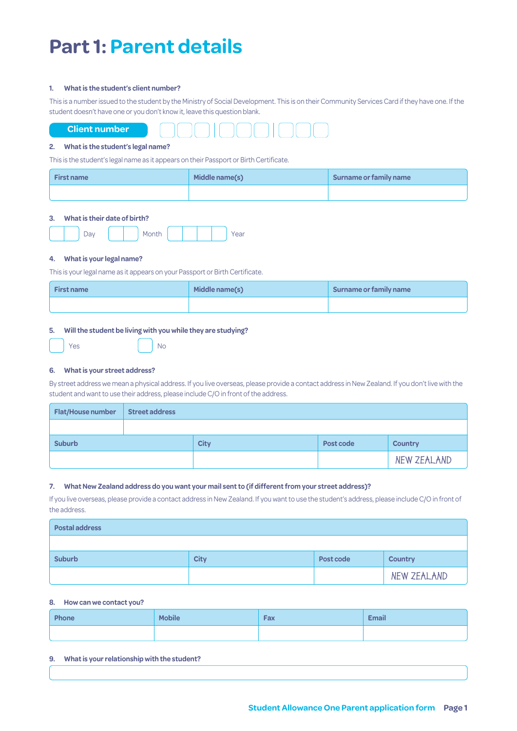# **Part 1: Parent details**

#### **1. What is the student's client number?**

This is a number issued to the student by the Ministry of Social Development. This is on their Community Services Card if they have one. If the student doesn't have one or you don't know it, leave this question blank.



#### **2. What is the student's legal name?**

This is the student's legal name as it appears on their Passport or Birth Certificate.

| <b>First name</b> | Middle name(s) | Surname or family name |
|-------------------|----------------|------------------------|
|                   |                |                        |

### **3. What is their date of birth?**



#### **4. What is your legal name?**

This is your legal name as it appears on your Passport or Birth Certificate.

| <b>First name</b> | Middle name(s) | Surname or family name |
|-------------------|----------------|------------------------|
|                   |                |                        |

#### **5. Will the student be living with you while they are studying?**

| Yes |  | <b>No</b> |
|-----|--|-----------|
|     |  |           |

#### **6. What is your street address?**

By street address we mean a physical address. If you live overseas, please provide a contact address in New Zealand. If you don't live with the student and want to use their address, please include C/O in front of the address.

| <b>Flat/House number</b> | <b>Street address</b> |             |           |                |
|--------------------------|-----------------------|-------------|-----------|----------------|
|                          |                       |             |           |                |
| <b>Suburb</b>            |                       | <b>City</b> | Post code | <b>Country</b> |
|                          |                       |             |           | NEW ZEALAND    |

#### **7. What New Zealand address do you want your mail sent to (if different from your street address)?**

If you live overseas, please provide a contact address in New Zealand. If you want to use the student's address, please include C/O in front of the address.

| <b>Postal address</b> |             |           |                |
|-----------------------|-------------|-----------|----------------|
|                       |             |           |                |
| <b>Suburb</b>         | <b>City</b> | Post code | <b>Country</b> |
|                       |             |           | NEW ZEALAND    |

#### **8. How can we contact you?**

| Phone | <b>Mobile</b> | Fax | <b>Email</b> |
|-------|---------------|-----|--------------|
|       |               |     |              |

#### **9. What is your relationship with the student?**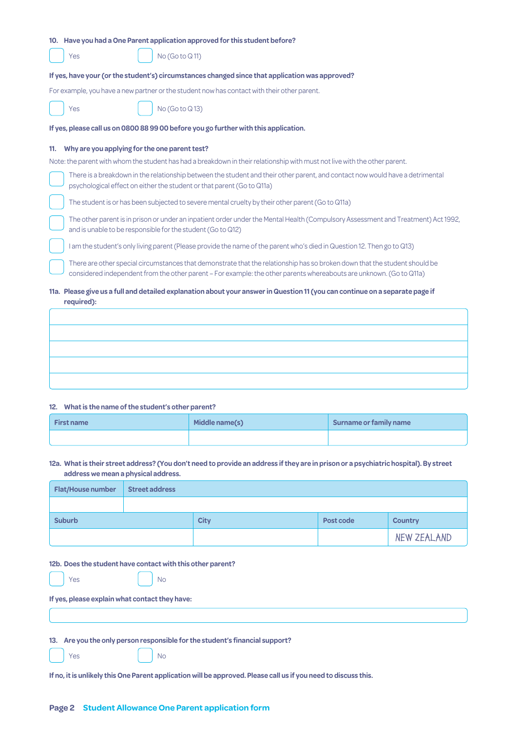| 10. Have you had a One Parent application approved for this student before?                                                                                                                                                                       |
|---------------------------------------------------------------------------------------------------------------------------------------------------------------------------------------------------------------------------------------------------|
| No(GotoQ11)<br>Yes                                                                                                                                                                                                                                |
| If yes, have your (or the student's) circumstances changed since that application was approved?                                                                                                                                                   |
| For example, you have a new partner or the student now has contact with their other parent.                                                                                                                                                       |
| No (Go to Q13)<br>Yes                                                                                                                                                                                                                             |
| If yes, please call us on 0800 88 99 00 before you go further with this application.                                                                                                                                                              |
| Why are you applying for the one parent test?<br>11.                                                                                                                                                                                              |
| Note: the parent with whom the student has had a breakdown in their relationship with must not live with the other parent.                                                                                                                        |
| There is a breakdown in the relationship between the student and their other parent, and contact now would have a detrimental<br>psychological effect on either the student or that parent (Go to Q11a)                                           |
| The student is or has been subjected to severe mental cruelty by their other parent (Go to Q11a)                                                                                                                                                  |
| The other parent is in prison or under an inpatient order under the Mental Health (Compulsory Assessment and Treatment) Act 1992,<br>and is unable to be responsible for the student (Go to Q12)                                                  |
| I am the student's only living parent (Please provide the name of the parent who's died in Question 12. Then go to Q13)                                                                                                                           |
| There are other special circumstances that demonstrate that the relationship has so broken down that the student should be<br>considered independent from the other parent – For example: the other parents whereabouts are unknown. (Go to Q11a) |
| 11a. Please give us a full and detailed explanation about your answer in Question 11 (you can continue on a separate page if<br>required):                                                                                                        |

#### **12. What is the name of the student's other parent?**

| <b>First name</b> | Middle name(s) | Surname or family name |
|-------------------|----------------|------------------------|
|                   |                |                        |

**12a. What is their street address? (You don't need to provide an address if they are in prison or a psychiatric hospital). By street address we mean a physical address.**

| <b>Flat/House number</b> | <b>Street address</b> |             |           |                |
|--------------------------|-----------------------|-------------|-----------|----------------|
|                          |                       |             |           |                |
| <b>Suburb</b>            |                       | <b>City</b> | Post code | <b>Country</b> |
|                          |                       |             |           | NEW ZEALAND    |

**12b. Does the student have contact with this other parent?**

| Yes | <b>No</b> |
|-----|-----------|
|-----|-----------|

**If yes, please explain what contact they have:**

**13. Are you the only person responsible for the student's financial support?** 

Yes No

**If no, it is unlikely this One Parent application will be approved. Please call us if you need to discuss this.**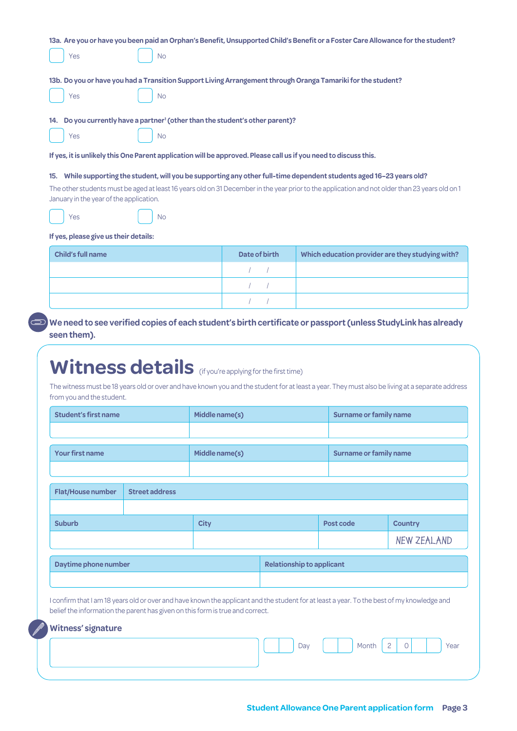|                                                                                                                                                 |               | 13a. Are you or have you been paid an Orphan's Benefit, Unsupported Child's Benefit or a Foster Care Allowance for the student? |
|-------------------------------------------------------------------------------------------------------------------------------------------------|---------------|---------------------------------------------------------------------------------------------------------------------------------|
| Yes<br><b>No</b>                                                                                                                                |               |                                                                                                                                 |
|                                                                                                                                                 |               |                                                                                                                                 |
| 13b. Do you or have you had a Transition Support Living Arrangement through Oranga Tamariki for the student?                                    |               |                                                                                                                                 |
| Yes<br><b>No</b>                                                                                                                                |               |                                                                                                                                 |
| 14. Do you currently have a partner <sup>1</sup> (other than the student's other parent)?                                                       |               |                                                                                                                                 |
| Yes<br><b>No</b>                                                                                                                                |               |                                                                                                                                 |
|                                                                                                                                                 |               |                                                                                                                                 |
| If yes, it is unlikely this One Parent application will be approved. Please call us if you need to discuss this.                                |               |                                                                                                                                 |
| 15. While supporting the student, will you be supporting any other full-time dependent students aged 16-23 years old?                           |               |                                                                                                                                 |
| The other students must be aged at least 16 years old on 31 December in the year prior to the application and not older than 23 years old on 1  |               |                                                                                                                                 |
|                                                                                                                                                 |               |                                                                                                                                 |
| January in the year of the application.                                                                                                         |               |                                                                                                                                 |
| Yes<br>No                                                                                                                                       |               |                                                                                                                                 |
|                                                                                                                                                 |               |                                                                                                                                 |
|                                                                                                                                                 |               |                                                                                                                                 |
|                                                                                                                                                 |               |                                                                                                                                 |
| Child's full name                                                                                                                               | Date of birth |                                                                                                                                 |
|                                                                                                                                                 |               |                                                                                                                                 |
|                                                                                                                                                 |               |                                                                                                                                 |
|                                                                                                                                                 |               |                                                                                                                                 |
| If yes, please give us their details:                                                                                                           |               |                                                                                                                                 |
| We need to see verified copies of each student's birth certificate or passport (unless StudyLink has already                                    |               |                                                                                                                                 |
|                                                                                                                                                 |               |                                                                                                                                 |
| seen them).                                                                                                                                     |               |                                                                                                                                 |
|                                                                                                                                                 |               |                                                                                                                                 |
|                                                                                                                                                 |               |                                                                                                                                 |
| <b>Witness details</b> (if you're applying for the first time)                                                                                  |               | Which education provider are they studying with?                                                                                |
| The witness must be 18 years old or over and have known you and the student for at least a year. They must also be living at a separate address |               |                                                                                                                                 |
| from you and the student.                                                                                                                       |               |                                                                                                                                 |

| <b>Flat/House number</b>  | <b>Street address</b> |                                                                                                                                                                                                                             |                                  |           |                    |
|---------------------------|-----------------------|-----------------------------------------------------------------------------------------------------------------------------------------------------------------------------------------------------------------------------|----------------------------------|-----------|--------------------|
| <b>Suburb</b>             |                       | <b>City</b>                                                                                                                                                                                                                 |                                  | Post code | <b>Country</b>     |
|                           |                       |                                                                                                                                                                                                                             |                                  |           | <b>NEW ZEALAND</b> |
| Daytime phone number      |                       |                                                                                                                                                                                                                             | <b>Relationship to applicant</b> |           |                    |
| <b>Witness' signature</b> |                       | I confirm that I am 18 years old or over and have known the applicant and the student for at least a year. To the best of my knowledge and<br>belief the information the parent has given on this form is true and correct. |                                  |           |                    |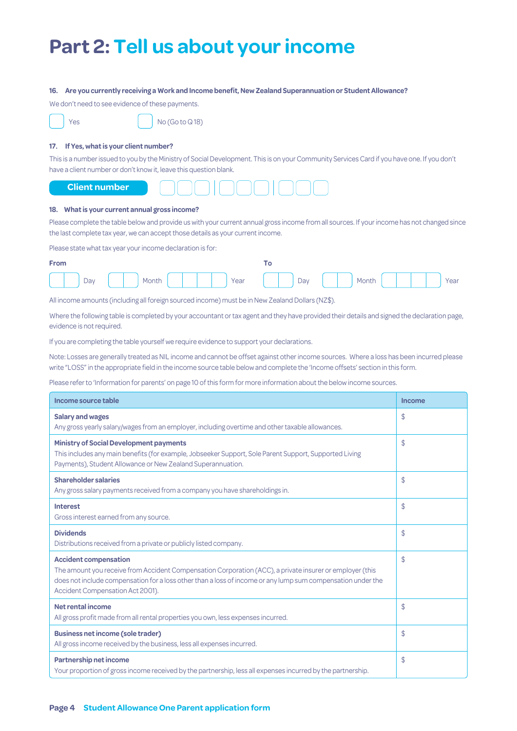# **Part 2: Tell us about your income**

#### **16. Are you currently receiving a Work and Income benefit, New Zealand Superannuation or Student Allowance?**

We don't need to see evidence of these payments.

|  | Yθ |
|--|----|
|  |    |

 $\log$  No (Go to Q 18)

# **17. If Yes, what is your client number?**

This is a number issued to you by the Ministry of Social Development. This is on your Community Services Card if you have one. If you don't have a client number or don't know it, leave this question blank.



#### **18. What is your current annual gross income?**

Please complete the table below and provide us with your current annual gross income from all sources. If your income has not changed since the last complete tax year, we can accept those details as your current income.

Please state what tax year your income declaration is for:

| <b>From</b> |                                                   |  |
|-------------|---------------------------------------------------|--|
|             | Day Nonth Month Year no Day Nonth Year Near Pay 1 |  |

All income amounts (including all foreign sourced income) must be in New Zealand Dollars (NZ\$).

Where the following table is completed by your accountant or tax agent and they have provided their details and signed the declaration page, evidence is not required.

If you are completing the table yourself we require evidence to support your declarations.

Note: Losses are generally treated as NIL income and cannot be offset against other income sources. Where a loss has been incurred please write "LOSS" in the appropriate field in the income source table below and complete the 'Income offsets' section in this form.

Please refer to 'Information for parents' on page 10 of this form for more information about the below income sources.

| Income source table                                                                                                                                                                                                                                                                         | <b>Income</b> |
|---------------------------------------------------------------------------------------------------------------------------------------------------------------------------------------------------------------------------------------------------------------------------------------------|---------------|
| <b>Salary and wages</b><br>Any gross yearly salary/wages from an employer, including overtime and other taxable allowances.                                                                                                                                                                 | \$            |
| <b>Ministry of Social Development payments</b><br>This includes any main benefits (for example, Jobseeker Support, Sole Parent Support, Supported Living<br>Payments), Student Allowance or New Zealand Superannuation.                                                                     | \$            |
| <b>Shareholder salaries</b><br>Any gross salary payments received from a company you have shareholdings in.                                                                                                                                                                                 | \$            |
| <b>Interest</b><br>Gross interest earned from any source.                                                                                                                                                                                                                                   | \$            |
| <b>Dividends</b><br>Distributions received from a private or publicly listed company.                                                                                                                                                                                                       | \$            |
| <b>Accident compensation</b><br>The amount you receive from Accident Compensation Corporation (ACC), a private insurer or employer (this<br>does not include compensation for a loss other than a loss of income or any lump sum compensation under the<br>Accident Compensation Act 2001). | \$            |
| Net rental income<br>All gross profit made from all rental properties you own, less expenses incurred.                                                                                                                                                                                      | \$            |
| <b>Business net income (sole trader)</b><br>All gross income received by the business, less all expenses incurred.                                                                                                                                                                          | \$            |
| Partnership net income<br>Your proportion of gross income received by the partnership, less all expenses incurred by the partnership.                                                                                                                                                       | \$            |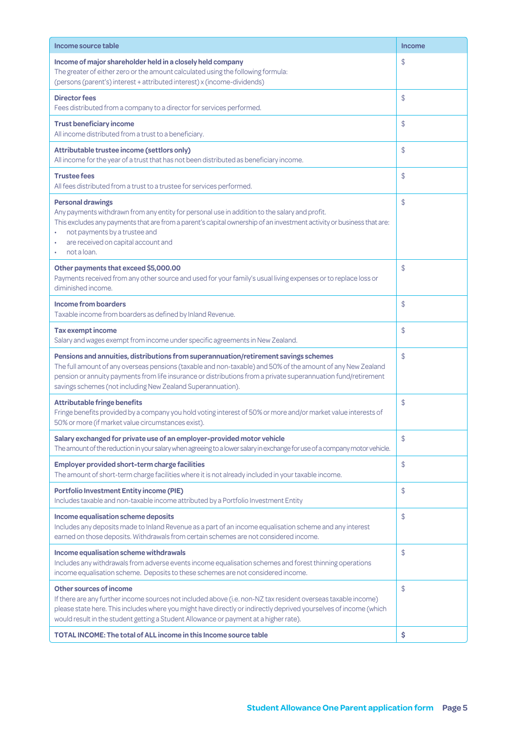| Income source table                                                                                                                                                                                                                                                                                                                                                                  | <b>Income</b> |
|--------------------------------------------------------------------------------------------------------------------------------------------------------------------------------------------------------------------------------------------------------------------------------------------------------------------------------------------------------------------------------------|---------------|
| Income of major shareholder held in a closely held company<br>The greater of either zero or the amount calculated using the following formula:<br>(persons (parent's) interest + attributed interest) x (income-dividends)                                                                                                                                                           | \$            |
| <b>Director fees</b><br>Fees distributed from a company to a director for services performed.                                                                                                                                                                                                                                                                                        | \$            |
| <b>Trust beneficiary income</b><br>All income distributed from a trust to a beneficiary.                                                                                                                                                                                                                                                                                             | \$            |
| Attributable trustee income (settlors only)<br>All income for the year of a trust that has not been distributed as beneficiary income.                                                                                                                                                                                                                                               | \$            |
| <b>Trustee fees</b><br>All fees distributed from a trust to a trustee for services performed.                                                                                                                                                                                                                                                                                        | \$            |
| <b>Personal drawings</b><br>Any payments withdrawn from any entity for personal use in addition to the salary and profit.<br>This excludes any payments that are from a parent's capital ownership of an investment activity or business that are:<br>not payments by a trustee and<br>are received on capital account and<br>not a loan.                                            | \$            |
| Other payments that exceed \$5,000.00<br>Payments received from any other source and used for your family's usual living expenses or to replace loss or<br>diminished income.                                                                                                                                                                                                        | \$            |
| <b>Income from boarders</b><br>Taxable income from boarders as defined by Inland Revenue.                                                                                                                                                                                                                                                                                            | \$            |
| Tax exempt income<br>Salary and wages exempt from income under specific agreements in New Zealand.                                                                                                                                                                                                                                                                                   | \$            |
| Pensions and annuities, distributions from superannuation/retirement savings schemes<br>The full amount of any overseas pensions (taxable and non-taxable) and 50% of the amount of any New Zealand<br>pension or annuity payments from life insurance or distributions from a private superannuation fund/retirement<br>savings schemes (not including New Zealand Superannuation). | \$            |
| <b>Attributable fringe benefits</b><br>Fringe benefits provided by a company you hold voting interest of 50% or more and/or market value interests of<br>50% or more (if market value circumstances exist).                                                                                                                                                                          | \$            |
| Salary exchanged for private use of an employer-provided motor vehicle<br>The amount of the reduction in your salary when agreeing to a lower salary in exchange for use of a company motor vehicle.                                                                                                                                                                                 | \$            |
| <b>Employer provided short-term charge facilities</b><br>The amount of short-term charge facilities where it is not already included in your taxable income.                                                                                                                                                                                                                         | \$            |
| <b>Portfolio Investment Entity income (PIE)</b><br>Includes taxable and non-taxable income attributed by a Portfolio Investment Entity                                                                                                                                                                                                                                               | \$            |
| Income equalisation scheme deposits<br>Includes any deposits made to Inland Revenue as a part of an income equalisation scheme and any interest<br>earned on those deposits. Withdrawals from certain schemes are not considered income.                                                                                                                                             | \$            |
| Income equalisation scheme withdrawals<br>Includes any withdrawals from adverse events income equalisation schemes and forest thinning operations<br>income equalisation scheme. Deposits to these schemes are not considered income.                                                                                                                                                | \$            |
| Other sources of income<br>If there are any further income sources not included above (i.e. non-NZ tax resident overseas taxable income)<br>please state here. This includes where you might have directly or indirectly deprived yourselves of income (which<br>would result in the student getting a Student Allowance or payment at a higher rate).                               | \$            |
| <b>TOTAL INCOME: The total of ALL income in this Income source table</b>                                                                                                                                                                                                                                                                                                             | \$            |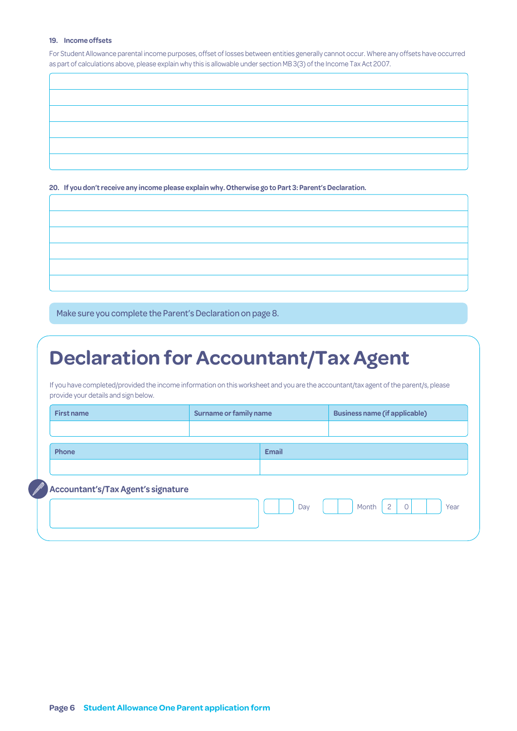#### **19. Income offsets**

For Student Allowance parental income purposes, offset of losses between entities generally cannot occur. Where any offsets have occurred as part of calculations above, please explain why this is allowable under section MB 3(3) of the Income Tax Act 2007.

**20. If you don't receive any income please explain why. Otherwise go to Part 3: Parent's Declaration.**

Make sure you complete the Parent's Declaration on page 8.

# **Declaration for Accountant/Tax Agent**

If you have completed/provided the income information on this worksheet and you are the accountant/tax agent of the parent/s, please provide your details and sign below.

| <b>First name</b>                  | <b>Surname or family name</b> |              | <b>Business name (if applicable)</b>       |
|------------------------------------|-------------------------------|--------------|--------------------------------------------|
|                                    |                               |              |                                            |
| Phone                              |                               | <b>Email</b> |                                            |
|                                    |                               |              |                                            |
| Accountant's/Tax Agent's signature |                               |              |                                            |
|                                    |                               | Day          | $\overline{2}$<br>Month<br>$\circ$<br>Year |
|                                    |                               |              |                                            |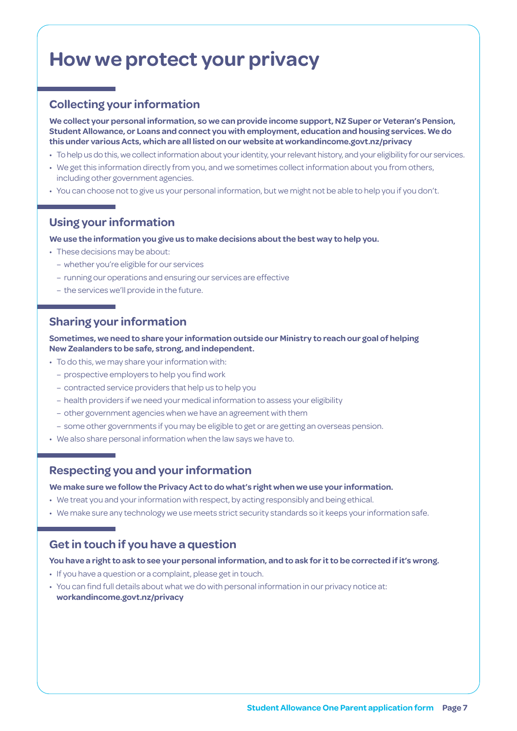# **How we protect your privacy**

# **Collecting your information**

**We collect your personal information, so we can provide income support, NZ Super or Veteran's Pension, Student Allowance, or Loans and connect you with employment, education and housing services. We do this under various Acts, which are all listed on our website at [workandincome.govt.nz/p](http://www.workandincome.govt.nz/about-work-and-income/privacy-notice/index.html)rivacy**

- To help us do this, we collect information about your identity, your relevant history, and your eligibility for our services.
- We get this information directly from you, and we sometimes collect information about you from others, including other government agencies.
- You can choose not to give us your personal information, but we might not be able to help you if you don't.

# **Using your information**

**We use the information you give us to make decisions about the best way to help you.**

- These decisions may be about:
	- whether you're eligible for our services
	- running our operations and ensuring our services are effective
	- the services we'll provide in the future.

# **Sharing your information**

**Sometimes, we need to share your information outside our Ministry to reach our goal of helping New Zealanders to be safe, strong, and independent.**

- To do this, we may share your information with:
	- prospective employers to help you find work
	- contracted service providers that help us to help you
	- health providers if we need your medical information to assess your eligibility
	- other government agencies when we have an agreement with them
	- some other governments if you may be eligible to get or are getting an overseas pension.
- We also share personal information when the law says we have to.

# **Respecting you and your information**

## **We make sure we follow the Privacy Act to do what's right when we use your information.**

- We treat you and your information with respect, by acting responsibly and being ethical.
- We make sure any technology we use meets strict security standards so it keeps your information safe.

# **Get in touch if you have a question**

## **You have a right to ask to see your personal information, and to ask for it to be corrected if it's wrong.**

- If you have a question or a complaint, please get in touch.
- You can find full details about what we do with personal information in our privacy notice at: **[workandincome.govt.nz/p](http://www.workandincome.govt.nz/about-work-and-income/privacy-notice/index.html)rivacy**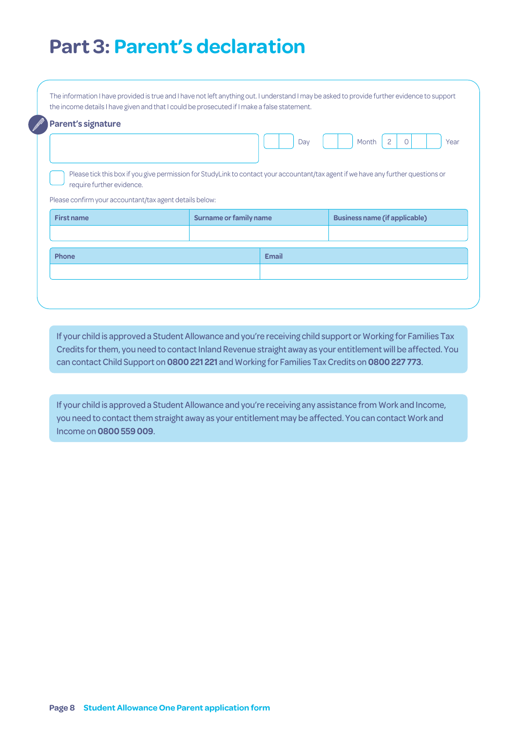# **Part 3: Parent's declaration**

| <b>Parent's signature</b>                                                    |                               | Day          | Month<br>$\Omega$<br>Year<br>Please tick this box if you give permission for StudyLink to contact your accountant/tax agent if we have any further questions or |
|------------------------------------------------------------------------------|-------------------------------|--------------|-----------------------------------------------------------------------------------------------------------------------------------------------------------------|
| require further evidence.                                                    |                               |              |                                                                                                                                                                 |
| Please confirm your accountant/tax agent details below:<br><b>First name</b> | <b>Surname or family name</b> |              | <b>Business name (if applicable)</b>                                                                                                                            |
| Phone                                                                        |                               | <b>Email</b> |                                                                                                                                                                 |

If your child is approved a Student Allowance and you're receiving child support or Working for Families Tax Credits for them, you need to contact Inland Revenue straight away as your entitlement will be affected. You can contact Child Support on **0800 221 221** and Working for Families Tax Credits on **0800 227 773**.

If your child is approved a Student Allowance and you're receiving any assistance from Work and Income, you need to contact them straight away as your entitlement may be affected. You can contact Work and Income on **0800 559 009**.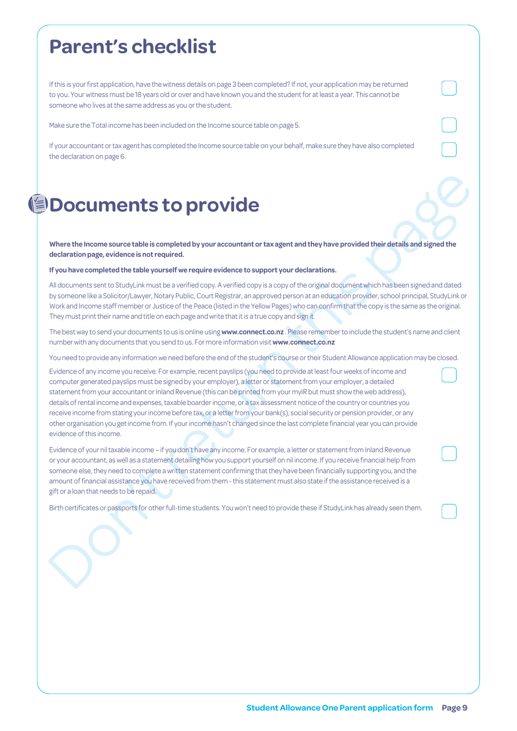# **Parent's checklist**

If this is your first application, have the witness details on page 3 been completed? If not, your application may be returned to you. Your witness must be 18 years old or over and have known you and the student for at least a year. This cannot be someone who lives at the same address as you or the student.

Make sure the Total income has been included on the Income source table on page 5.

If your accountant or tax agent has completed the Income source table on your behalf, make sure they have also completed the declaration on page 6.

# **Documents to provide**

Where the Income source table is completed by your accountant or tax agent and they have provided their details and signed the **declaration page, evidence is not required.**

#### **If you have completed the table yourself we require evidence to support your declarations.**

All documents sent to StudyLink must be a verified copy. A verified copy is a copy of the original document which has been signed and dated by someone like a Solicitor/Lawyer, Notary Public, Court Registrar, an approved person at an education provider, school principal, StudyLink or Work and Income staff member or Justice of the Peace (listed in the Yellow Pages) who can confirm that the copy is the same as the original. They must print their name and title on each page and write that it is a true copy and sign it.

The best way to send your documents to us is online using **www.connect.co.nz** . Please remember to include the student's name and client number with any documents that you send to us. For more information visit **www.connect.co.nz**

You need to provide any information we need before the end of the student's course or their Student Allowance application may be closed.

**DOCUMENTS to provide the control of the control of the control of the control of the control of the control of the control of the control of the control of the control of the declination page, evidence is not required.<br>** Evidence of any income you receive. For example, recent payslips (you need to provide at least four weeks of income and computer generated payslips must be signed by your employer), a letter or statement from your employer, a detailed statement from your accountant or Inland Revenue (this can be printed from your myIR but must show the web address), details of rental income and expenses, taxable boarder income, or a tax assessment notice of the country or countries you receive income from stating your income before tax, or a letter from your bank(s), social security or pension provider, or any other organisation you get income from. If your income hasn't changed since the last complete financial year you can provide evidence of this income.

Evidence of your nil taxable income – if you don't have any income. For example, a letter or statement from Inland Revenue or your accountant, as well as a statement detailing how you support yourself on nil income. If you receive financial help from someone else, they need to complete a written statement confirming that they have been financially supporting you, and the amount of financial assistance you have received from them - this statement must also state if the assistance received is a gift or a loan that needs to be repaid.

Birth certificates or passports for other full-time students. You won't need to provide these if StudyLink has already seen them.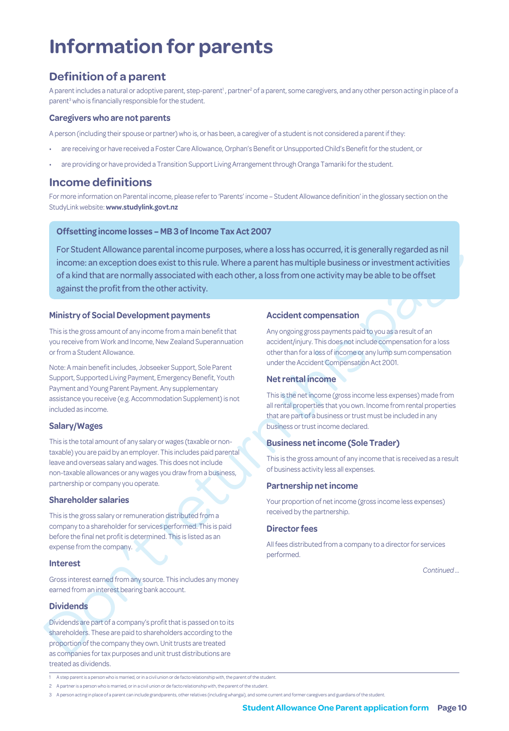# **Information for parents**

# **Definition of a parent**

A parent includes a natural or adoptive parent, step-parent<sup>1</sup>, partner<sup>2</sup> of a parent, some caregivers, and any other person acting in place of a parent<sup>3</sup> who is financially responsible for the student.

## **Caregivers who are not parents**

A person (including their spouse or partner) who is, or has been, a caregiver of a student is not considered a parent if they:

- are receiving or have received a Foster Care Allowance, Orphan's Benefit or Unsupported Child's Benefit for the student, or
- are providing or have provided a Transition Support Living Arrangement through Oranga Tamariki for the student.

# **Income definitions**

For more information on Parental income, please refer to 'Parents' income – Student Allowance definition' in the glossary section on the StudyLink website: **[www.studylink.govt.nz](http://www.studylink.govt.nz)**

# **Offsetting income losses – MB 3 of Income Tax Act 2007**

For Student Allowance parental income purposes, where a loss has occurred, it is generally regarded as nil<br>
of a kind that are normally associated with each chemical behavious controller as a controller sole of footing<br>
o For Student Allowance parental income purposes, where a loss has occurred, it is generally regarded as nil income: an exception does exist to this rule. Where a parent has multiple business or investment activities of a kind that are normally associated with each other, a loss from one activity may be able to be offset against the profit from the other activity.

# **Ministry of Social Development payments**

This is the gross amount of any income from a main benefit that you receive from Work and Income, New Zealand Superannuation or from a Student Allowance.

Note: A main benefit includes, Jobseeker Support, Sole Parent Support, Supported Living Payment, Emergency Benefit, Youth Payment and Young Parent Payment. Any supplementary assistance you receive (e.g. Accommodation Supplement) is not included as income.

# **Salary/Wages**

This is the total amount of any salary or wages (taxable or nontaxable) you are paid by an employer. This includes paid parental leave and overseas salary and wages. This does not include non-taxable allowances or any wages you draw from a business, partnership or company you operate.

## **Shareholder salaries**

This is the gross salary or remuneration distributed from a company to a shareholder for services performed. This is paid before the final net profit is determined. This is listed as an expense from the company.

## **Interest**

Gross interest earned from any source. This includes any money earned from an interest bearing bank account.

# **Dividends**

Dividends are part of a company's profit that is passed on to its shareholders. These are paid to shareholders according to the proportion of the company they own. Unit trusts are treated as companies for tax purposes and unit trust distributions are treated as dividends.

# **Accident compensation**

Any ongoing gross payments paid to you as a result of an accident/injury. This does not include compensation for a loss other than for a loss of income or any lump sum compensation under the Accident Compensation Act 2001.

# **Net rental income**

This is the net income (gross income less expenses) made from all rental properties that you own. Income from rental properties that are part of a business or trust must be included in any business or trust income declared.

# **Business net income (Sole Trader)**

This is the gross amount of any income that is received as a result of business activity less all expenses.

## **Partnership net income**

Your proportion of net income (gross income less expenses) received by the partnership.

# **Director fees**

All fees distributed from a company to a director for services performed.

*Continued …*

2 A partner is a person who is married, or in a civil union or de facto relationship with, the parent of the student.

<sup>1</sup> A step parent is a person who is married, or in a civil union or de facto relationship with, the parent of the student.

<sup>3</sup> A person acting in place of a parent can include grandparents, other relatives (including whangai), and some current and former caregivers and guardians of the student.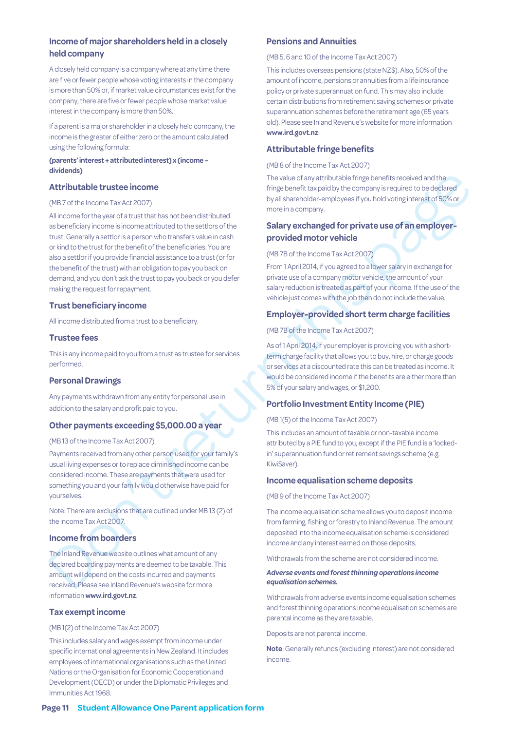# **Income of major shareholders held in a closely held company**

A closely held company is a company where at any time there are five or fewer people whose voting interests in the company is more than 50% or, if market value circumstances exist for the company, there are five or fewer people whose market value interest in the company is more than 50%.

If a parent is a major shareholder in a closely held company, the income is the greater of either zero or the amount calculated using the following formula:

#### **(parents' interest + attributed interest) x (income – dividends)**

### **Attributable trustee income**

#### (MB 7 of the Income Tax Act 2007)

**Mixturble trustee income<br>
Attributable trustee income<br>
CMP aide leaders are also as a consistent and a comparison and a comparison and a comparison and a comparison and a<br>
Attributable trustee incomes<br>
(MP aide leaders t** All income for the year of a trust that has not been distributed as beneficiary income is income attributed to the settlors of the trust. Generally a settlor is a person who transfers value in cash or kind to the trust for the benefit of the beneficiaries. You are also a settlor if you provide financial assistance to a trust (or for the benefit of the trust) with an obligation to pay you back on demand, and you don't ask the trust to pay you back or you defer making the request for repayment.

### **Trust beneficiary income**

All income distributed from a trust to a beneficiary.

### **Trustee fees**

This is any income paid to you from a trust as trustee for services performed.

#### **Personal Drawings**

Any payments withdrawn from any entity for personal use in addition to the salary and profit paid to you.

## **Other payments exceeding \$5,000.00 a year**

## (MB 13 of the Income Tax Act 2007)

Payments received from any other person used for your family's usual living expenses or to replace diminished income can be considered income. These are payments that were used for something you and your family would otherwise have paid for yourselves.

Note: There are exclusions that are outlined under MB 13 (2) of the Income Tax Act 2007.

#### **Income from boarders**

The Inland Revenue website outlines what amount of any declared boarding payments are deemed to be taxable. This amount will depend on the costs incurred and payments received. Please see Inland Revenue's website for more information **www.ird.govt.nz**.

# **Tax exempt income**

#### (MB 1(2) of the Income Tax Act 2007)

This includes salary and wages exempt from income under specific international agreements in New Zealand. It includes employees of international organisations such as the United Nations or the Organisation for Economic Cooperation and Development (OECD) or under the Diplomatic Privileges and Immunities Act 1968.

### **Pensions and Annuities**

(MB 5, 6 and 10 of the Income Tax Act 2007)

This includes overseas pensions (state NZ\$). Also, 50% of the amount of income, pensions or annuities from a life insurance policy or private superannuation fund. This may also include certain distributions from retirement saving schemes or private superannuation schemes before the retirement age (65 years old). Please see Inland Revenue's website for more information **www.ird.govt.nz**.

## **Attributable fringe benefits**

### (MB 8 of the Income Tax Act 2007)

The value of any attributable fringe benefits received and the fringe benefit tax paid by the company is required to be declared by all shareholder-employees if you hold voting interest of 50% or more in a company.

# **Salary exchanged for private use of an employerprovided motor vehicle**

### (MB 7B of the Income Tax Act 2007)

From 1 April 2014, if you agreed to a lower salary in exchange for private use of a company motor vehicle, the amount of your salary reduction is treated as part of your income. If the use of the vehicle just comes with the job then do not include the value.

## **Employer-provided short term charge facilities**

#### (MB 7B of the Income Tax Act 2007)

As of 1 April 2014, if your employer is providing you with a shortterm charge facility that allows you to buy, hire, or charge goods or services at a discounted rate this can be treated as income. It would be considered income if the benefits are either more than 5% of your salary and wages, or \$1,200.

### **Portfolio Investment Entity Income (PIE)**

#### (MB 1(5) of the Income Tax Act 2007)

This includes an amount of taxable or non-taxable income attributed by a PIE fund to you, except if the PIE fund is a 'lockedin' superannuation fund or retirement savings scheme (e.g. KiwiSaver).

## **Income equalisation scheme deposits**

(MB 9 of the Income Tax Act 2007)

The income equalisation scheme allows you to deposit income from farming, fishing or forestry to Inland Revenue. The amount deposited into the income equalisation scheme is considered income and any interest earned on those deposits.

Withdrawals from the scheme are not considered income.

#### *Adverse events and forest thinning operations income equalisation schemes.*

Withdrawals from adverse events income equalisation schemes and forest thinning operations income equalisation schemes are parental income as they are taxable.

Deposits are not parental income.

**Note**: Generally refunds (excluding interest) are not considered income.